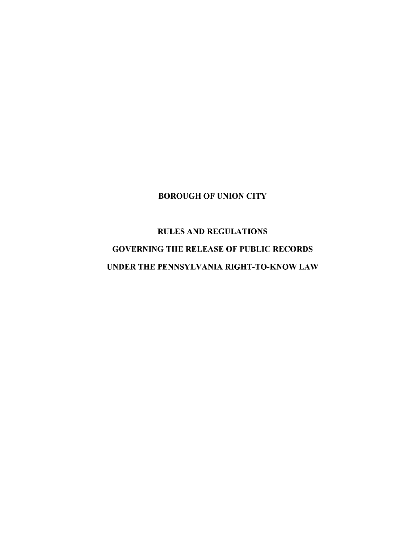# BOROUGH OF UNION CITY

# RULES AND REGULATIONS GOVERNING THE RELEASE OF PUBLIC RECORDS UNDER THE PENNSYLVANIA RIGHT-TO-KNOW LAW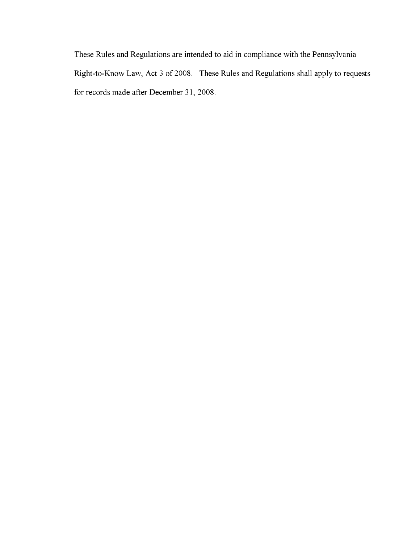These Rules and Regulations are intended to aid in compliance with the Pennsylvania Right-to-Know Law, Act 3 of 2008. These Rules and Regulations shall apply to requests for records made after December 31,2008.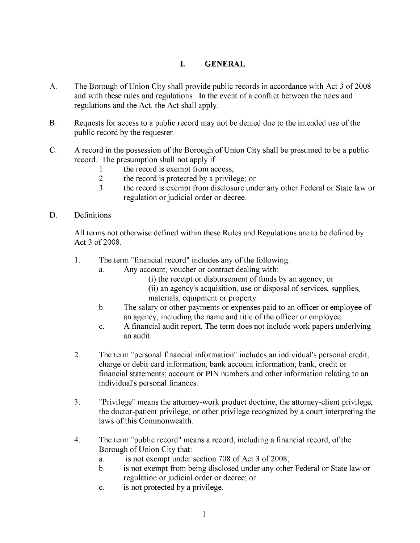#### **I. GENERAL**

- A. The Borough of Union City shall provide public records in accordance with Act 3 of 2008 and with these rules and regulations. **In** the event of a conflict between the rules and regulations and the Act, the Act shall apply.
- B. Requests for access to a public record may not be denied due to the intended use of the public record by the requester.
- C. A record in the possession of the Borough of Union City shall be presumed to be a public record. The presumption shall not apply if:
	- 1. the record is exempt from access;
	- 2. the record is protected by a privilege; or
	- 3. the record is exempt from disclosure under any other Federal or State law or regulation or judicial order or decree.
- D. Definitions

All terms not otherwise defined within these Rules and Regulations are to be defined by Act 3 of 2008.

- 1. The term "financial record" includes any of the following:
	- a. Any account, voucher or contract dealing with:
		- (i) the receipt or disbursement of funds by an agency; or
		- (ii) an agency's acquisition, use or disposal of services, supplies, materials, equipment or property.
	- b. The salary or other payments or expenses paid to an officer or employee of an agency, including the name and title of the officer or employee.
	- c. A financial audit report. The term does not include work papers underlying an audit.
- 2. The term "personal financial information" includes an individual's personal credit, charge or debit card information; bank account information; bank, credit or financial statements; account or PIN numbers and other information relating to an individual's personal finances.
- 3. "Privilege" means the attorney-work product doctrine, the attorney-client privilege, the doctor-patient privilege, or other privilege recognized by a court interpreting the laws of this Commonwealth.
- 4. The term "public record" means a record, including a financial record, of the Borough of Union City that:
	- a. is not exempt under section 708 of Act 3 of 2008;
	- b. is not exempt from being disclosed under any other Federal or State law or regulation or judicial order or decree; or
	- c. is not protected by a privilege.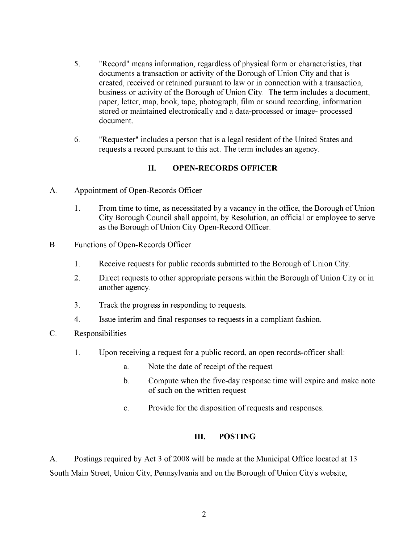- 5. "Record" means information, regardless of physical form or characteristics, that documents a transaction or activity of the Borough of Union City and that is created, received or retained pursuant to law or in connection with a transaction, business or activity of the Borough of Union City. The term includes a document, paper, letter, map, book, tape, photograph, film or sound recording, information stored or maintained electronically and a data-processed or image- processed document.
- 6. "Requester" includes a person that is a legal resident of the United States and requests a record pursuant to this act. The term includes an agency.

## **II. OPEN-RECORDS OFFICER**

- A. Appointment of Open-Records Officer
	- 1. From time to time, as necessitated by a vacancy in the office, the Borough of Union City Borough Council shall appoint, by Resolution, an official or employee to serve as the Borough of Union City Open-Record Officer.
- B. Functions of Open-Records Officer
	- 1. Receive requests for public records submitted to the Borough of Union City.
	- 2. Direct requests to other appropriate persons within the Borough of Union City or in another agency.
	- 3. Track the progress in responding to requests.
	- 4. Issue interim and final responses to requests in a compliant fashion.
- C. Responsibilities
	- 1. Upon receiving a request for a public record, an open records-officer shall:
		- a. Note the date of receipt of the request
		- b. Compute when the five-day response time will expire and make note of such on the written request
		- c. Provide for the disposition of requests and responses.

#### **III. POSTING**

A. Postings required by Act 3 of 2008 will be made at the Municipal Office located at 13 South Main Street, Union City, Pennsylvania and on the Borough of Union City's website,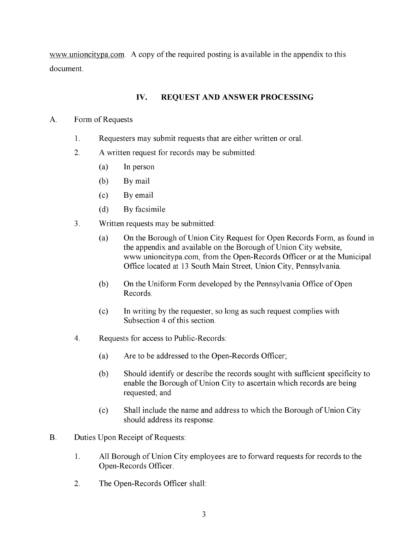www.unioncitypa.com. A copy of the required posting is available in the appendix to this document.

#### **IV. REQUEST AND ANSWER PROCESSING**

#### A. Form of Requests

- 1. Requesters may submit requests that are either written or oral.
- 2. A written request for records may be submitted:
	- (a) **In** person
	- (b) By mail
	- (c) Byemail
	- (d) By facsimile
- 3. Written requests may be submitted:
	- (a) On the Borough of Union City Request for Open Records Form, as found in the appendix and available on the Borough of Union City website, www.unioncitypa.com. from the Open-Records Officer or at the Municipal Office located at 13 South Main Street, Union City, Pennsylvania.
	- (b) On the Uniform Form developed by the Pennsylvania Office of Open Records.
	- (c) **In** writing by the requester, so long as such request complies with Subsection 4 of this section.
- 4. Requests for access to Public-Records:
	- (a) Are to be addressed to the Open-Records Officer;
	- (b) Should identify or describe the records sought with sufficient specificity to enable the Borough of Union City to ascertain which records are being requested; and
	- (c) Shall include the name and address to which the Borough of Union City should address its response.
- B. Duties Upon Receipt of Requests:
	- 1. All Borough of Union City employees are to forward requests for records to the Open-Records Officer.
	- 2. The Open-Records Officer shall: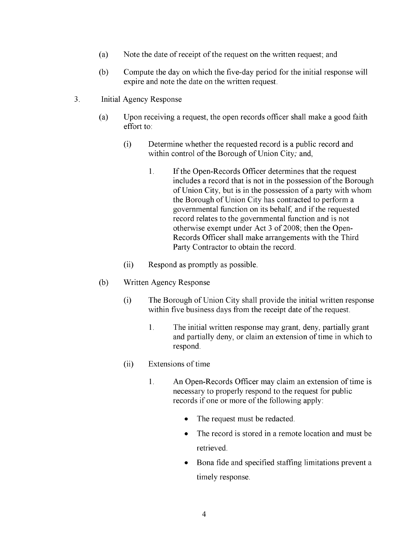- (a) Note the date of receipt of the request on the written request; and
- (b) Compute the day on which the five-day period for the initial response will expire and note the date on the written request.
- 3. Initial Agency Response
	- (a) Upon receiving a request, the open records officer shall make a good faith effort to:
		- (i) Determine whether the requested record is a public record and within control of the Borough of Union City; and,
			- 1. If the Open-Records Officer determines that the request includes a record that is not in the possession of the Borough of Union City, but is in the possession of a party with whom the Borough of Union City has contracted to perform a governmental function on its behalf, and if the requested record relates to the governmental function and is not otherwise exempt under Act 3 of 2008; then the Open-Records Officer shall make arrangements with the Third Party Contractor to obtain the record.
		- (ii) Respond as promptly as possible.
	- (b) Written Agency Response
		- (i) The Borough of Union City shall provide the initial written response within five business days from the receipt date of the request.
			- 1. The initial written response may grant, deny, partially grant and partially deny, or claim an extension of time in which to respond.
		- (ii) Extensions of time
			- 1. An Open-Records Officer may claim an extension of time is necessary to properly respond to the request for public records if one or more of the following apply:
				- The request must be redacted.
				- The record is stored in a remote location and must be retrieved.
				- Bona fide and specified staffing limitations prevent a timely response.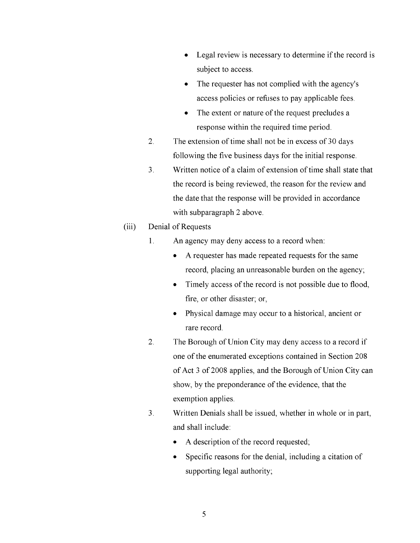- Legal review is necessary to determine if the record is subject to access.
- The requester has not complied with the agency's access policies or refuses to pay applicable fees.
- The extent or nature of the request precludes a response within the required time period.
- 2. The extension of time shall not be in excess of 30 days following the five business days for the initial response.
- 3. Written notice of a claim of extension of time shall state that the record is being reviewed, the reason for the review and the date that the response will be provided in accordance with subparagraph 2 above.

#### (iii) Denial of Requests

- 1. An agency may deny access to a record when:
	- A requester has made repeated requests for the same record, placing an unreasonable burden on the agency;
	- Timely access of the record is not possible due to flood, fire, or other disaster; or,
	- Physical damage may occur to a historical, ancient or rare record.
- 2. The Borough of Union City may deny access to a record if one of the enumerated exceptions contained in Section 208 of Act 3 of 2008 applies, and the Borough of Union City can show, by the preponderance of the evidence, that the exemption applies.
- 3. Written Denials shall be issued, whether in whole or in part, and shall include:
	- A description of the record requested;
	- Specific reasons for the denial, including a citation of supporting legal authority;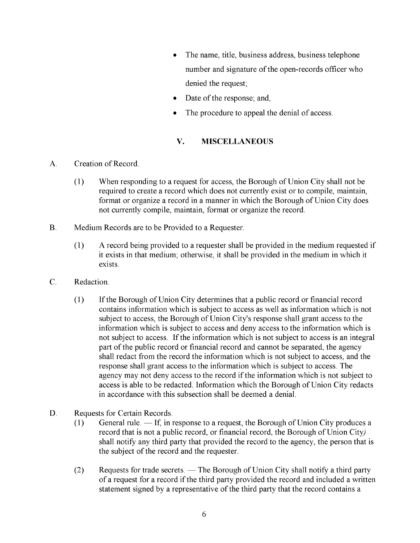- The name, title, business address, business telephone number and signature of the open-records officer who denied the request;
- Date of the response; and,
- The procedure to appeal the denial of access.

## **v. MISCELLANEOUS**

- A. Creation of Record.
	- (1) When responding to a request for access, the Borough of Union City shall not be required to create a record which does not currently exist or to compile, maintain, format or organize a record in a manner in which the Borough of Union City does not currently compile, maintain, format or organize the record.
- B. Medium Records are to be Provided to a Requester.
	- (1) A record being provided to a requester shall be provided in the medium requested if it exists in that medium; otherwise, it shall be provided in the medium in which it exists.
- C. Redaction.
	- (1) If the Borough of Union City determines that a public record or financial record contains information which is subject to access as well as information which is not subject to access, the Borough of Union City's response shall grant access to the information which is subject to access and deny access to the information which is not subject to access. If the information which is not subject to access is an integral part of the public record or financial record and cannot be separated, the agency shall redact from the record the information which is not subject to access, and the response shall grant access to the information which is subject to access. The agency may not deny access to the record if the information which is not subject to access is able to be redacted. Information which the Borough of Union City redacts in accordance with this subsection shall be deemed a denial.
- D. Requests for Certain Records.
	- (1) General rule.  $\overline{-1}$  If, in response to a request, the Borough of Union City produces a record that is not a public record, or financial record, the Borough of Union City) shall notify any third party that provided the record to the agency, the person that is the subject of the record and the requester.
	- $(2)$  Requests for trade secrets. The Borough of Union City shall notify a third party of a request for a record if the third party provided the record and included a written statement signed by a representative of the third party that the record contains a